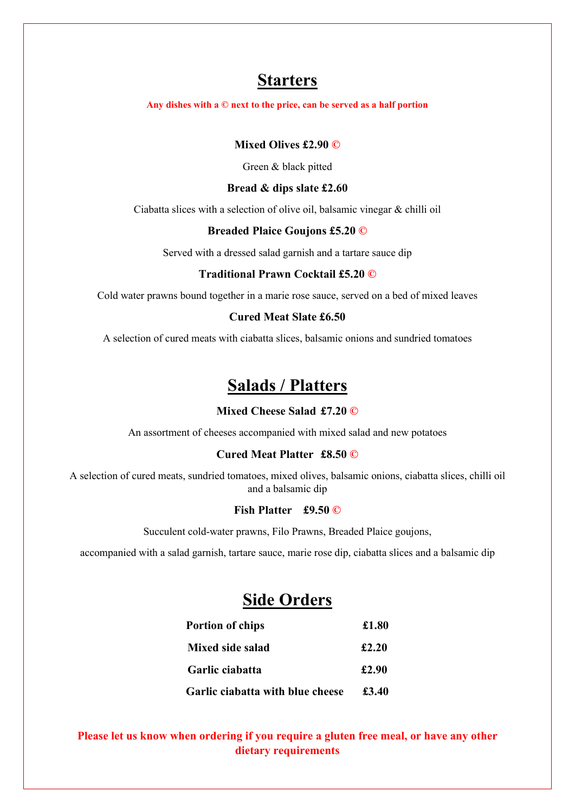# **Starters**

**Any dishes with a © next to the price, can be served as a half portion** 

## **Mixed Olives £2.90 ©**

Green & black pitted

#### **Bread & dips slate £2.60**

Ciabatta slices with a selection of olive oil, balsamic vinegar & chilli oil

#### **Breaded Plaice Goujons £5.20 ©**

Served with a dressed salad garnish and a tartare sauce dip

#### **Traditional Prawn Cocktail £5.20 ©**

Cold water prawns bound together in a marie rose sauce, served on a bed of mixed leaves

#### **Cured Meat Slate £6.50**

A selection of cured meats with ciabatta slices, balsamic onions and sundried tomatoes

# **Salads / Platters**

### **Mixed Cheese Salad £7.20 ©**

An assortment of cheeses accompanied with mixed salad and new potatoes

#### **Cured Meat Platter £8.50 ©**

A selection of cured meats, sundried tomatoes, mixed olives, balsamic onions, ciabatta slices, chilli oil and a balsamic dip

#### **Fish Platter £9.50 ©**

Succulent cold-water prawns, Filo Prawns, Breaded Plaice goujons,

accompanied with a salad garnish, tartare sauce, marie rose dip, ciabatta slices and a balsamic dip

# **Side Orders**

| <b>Portion of chips</b>                 | £1.80 |  |
|-----------------------------------------|-------|--|
| Mixed side salad                        | £2.20 |  |
| Garlic ciabatta                         | £2.90 |  |
| <b>Garlic ciabatta with blue cheese</b> | £3.40 |  |

## **Please let us know when ordering if you require a gluten free meal, or have any other dietary requirements**